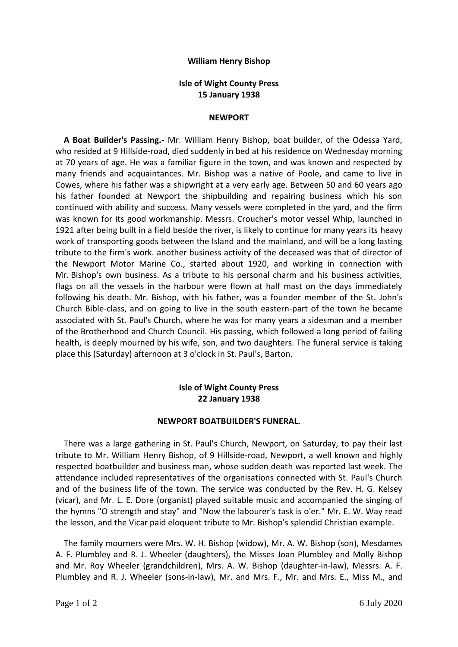## **William Henry Bishop**

## **Isle of Wight County Press 15 January 1938**

#### **NEWPORT**

 **A Boat Builder's Passing.-** Mr. William Henry Bishop, boat builder, of the Odessa Yard, who resided at 9 Hillside-road, died suddenly in bed at his residence on Wednesday morning at 70 years of age. He was a familiar figure in the town, and was known and respected by many friends and acquaintances. Mr. Bishop was a native of Poole, and came to live in Cowes, where his father was a shipwright at a very early age. Between 50 and 60 years ago his father founded at Newport the shipbuilding and repairing business which his son continued with ability and success. Many vessels were completed in the yard, and the firm was known for its good workmanship. Messrs. Croucher's motor vessel Whip, launched in 1921 after being built in a field beside the river, is likely to continue for many years its heavy work of transporting goods between the Island and the mainland, and will be a long lasting tribute to the firm's work. another business activity of the deceased was that of director of the Newport Motor Marine Co., started about 1920, and working in connection with Mr. Bishop's own business. As a tribute to his personal charm and his business activities, flags on all the vessels in the harbour were flown at half mast on the days immediately following his death. Mr. Bishop, with his father, was a founder member of the St. John's Church Bible-class, and on going to live in the south eastern-part of the town he became associated with St. Paul's Church, where he was for many years a sidesman and a member of the Brotherhood and Church Council. His passing, which followed a long period of failing health, is deeply mourned by his wife, son, and two daughters. The funeral service is taking place this (Saturday) afternoon at 3 o'clock in St. Paul's, Barton.

# **Isle of Wight County Press 22 January 1938**

## **NEWPORT BOATBUILDER'S FUNERAL.**

There was a large gathering in St. Paul's Church, Newport, on Saturday, to pay their last tribute to Mr. William Henry Bishop, of 9 Hillside-road, Newport, a well known and highly respected boatbuilder and business man, whose sudden death was reported last week. The attendance included representatives of the organisations connected with St. Paul's Church and of the business life of the town. The service was conducted by the Rev. H. G. Kelsey (vicar), and Mr. L. E. Dore (organist) played suitable music and accompanied the singing of the hymns "O strength and stay" and "Now the labourer's task is o'er." Mr. E. W. Way read the lesson, and the Vicar paid eloquent tribute to Mr. Bishop's splendid Christian example.

 The family mourners were Mrs. W. H. Bishop (widow), Mr. A. W. Bishop (son), Mesdames A. F. Plumbley and R. J. Wheeler (daughters), the Misses Joan Plumbley and Molly Bishop and Mr. Roy Wheeler (grandchildren), Mrs. A. W. Bishop (daughter-in-law), Messrs. A. F. Plumbley and R. J. Wheeler (sons-in-law), Mr. and Mrs. F., Mr. and Mrs. E., Miss M., and